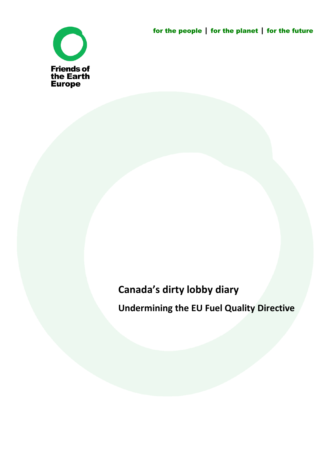for the people **|** for the planet **|** for the future



# **Canada's dirty lobby diary**

**Undermining the EU Fuel Quality Directive**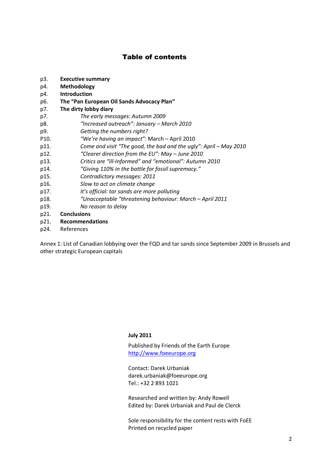#### Table of contents

- p3. **Executive summary**
- p4. **Methodology**
- p4. **Introduction**
- p6. **The "Pan European Oil Sands Advocacy Plan"**
- p7. **The dirty lobby diary**
- p7. *The early messages: Autumn 2009*
- p8. *"Increased outreach": January – March 2010*
- p9. *Getting the numbers right?*
- P10. *"We're having an impact":* March April 2010
- p11. *Come and visit "The good, the bad and the ugly": April – May 2010*
- p12. *"Clearer direction from the EU": May – June 2010*
- p13. *Critics are "ill-Informed" and "emotional": Autumn 2010*
- p14. *"Giving 110% in the battle for fossil supremacy."*
- p15. *Contradictory messages: 2011*
- p16. *Slow to act on climate change*
- p17. *It's official: tar sands are more polluting*
- p18. *"Unacceptable "threatening behaviour: March – April 2011*
- p19. *No reason to delay*
- p21. **Conclusions**
- p21. **Recommendations**
- p24. References

Annex 1: List of Canadian lobbying over the FQD and tar sands since September 2009 in Brussels and other strategic European capitals

#### **July 2011**

Published by Friends of the Earth Europe http://www.foeeurope.org

Contact: Darek Urbaniak darek.urbaniak@foeeurope.org Tel.: +32 2 893 1021

Researched and written by: Andy Rowell Edited by: Darek Urbaniak and Paul de Clerck

Sole responsibility for the content rests with FoEE Printed on recycled paper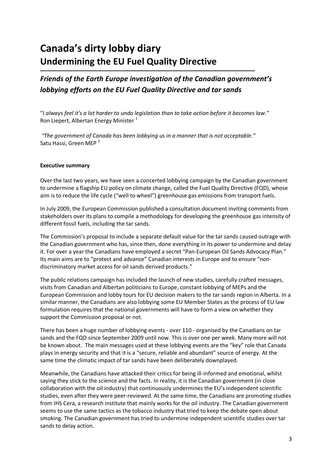## **Canada's dirty lobby diary Undermining the EU Fuel Quality Directive**

## *Friends of the Earth Europe investigation of the Canadian government's lobbying efforts on the EU Fuel Quality Directive and tar sands*

"*I always feel it's a lot harder to undo legislation than to take action before it becomes law.*" Ron Liepert, Albertan Energy Minister<sup>[1](#page-27-0)</sup>

*"The government of Canada has been lobbying us in a manner that is not acceptable."* Satu Hassi, Green MEP<sup>[2](#page-27-1)</sup>

#### **Executive summary**

Over the last two years, we have seen a concerted lobbying campaign by the Canadian government to undermine a flagship EU policy on climate change, called the Fuel Quality Directive (FQD), whose aim is to reduce the life cycle ("well to wheel") greenhouse gas emissions from transport fuels.

In July 2009, the European Commission published a consultation document inviting comments from stakeholders over its plans to compile a methodology for developing the greenhouse gas intensity of different fossil fuels, including the tar sands.

The Commission's proposal to include a separate default value for the tar sands caused outrage with the Canadian government who has, since then, done everything in its power to undermine and delay it. For over a year the Canadians have employed a secret "Pan-European Oil Sands Advocacy Plan." Its main aims are to "protect and advance" Canadian interests in Europe and to ensure "nondiscriminatory market access for oil sands derived products."

The public relations campaign has included the launch of new studies, carefully crafted messages, visits from Canadian and Albertan politicians to Europe, constant lobbying of MEPs and the European Commission and lobby tours for EU decision makers to the tar sands region in Alberta. In a similar manner, the Canadians are also lobbying some EU Member States as the process of EU law formulation requires that the national governments will have to form a view on whether they support the Commission proposal or not.

There has been a huge number of lobbying events - over 110 - organised by the Canadians on tar sands and the FQD since September 2009 until now. This is over one per week. Many more will not be known about. The main messages used at these lobbying events are the "key" role that Canada plays in energy security and that it is a "secure, reliable and abundant" source of energy. At the same time the climatic impact of tar sands have been deliberately downplayed.

Meanwhile, the Canadians have attacked their critics for being ill-informed and emotional, whilst saying they stick to the science and the facts. In reality, it is the Canadian government (in close collaboration with the oil industry) that continuously undermines the EU's independent scientific studies, even after they were peer-reviewed. At the same time, the Canadians are promoting studies from IHS Cera, a research institute that mainly works for the oil industry. The Canadian government seems to use the same tactics as the tobacco industry that tried to keep the debate open about smoking. The Canadian government has tried to undermine independent scientific studies over tar sands to delay action.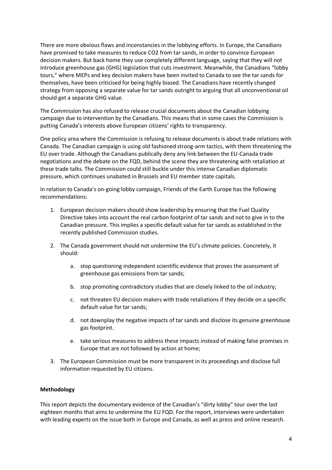There are more obvious flaws and inconstancies in the lobbying efforts. In Europe, the Canadians have promised to take measures to reduce CO2 from tar sands, in order to convince European decision makers. But back home they use completely different language, saying that they will not introduce greenhouse gas (GHG) legislation that cuts investment. Meanwhile, the Canadians "lobby tours," where MEPs and key decision makers have been invited to Canada to see the tar sands for themselves, have been criticised for being highly biased. The Canadians have recently changed strategy from opposing a separate value for tar sands outright to arguing that all unconventional oil should get a separate GHG value.

The Commission has also refused to release crucial documents about the Canadian lobbying campaign due to intervention by the Canadians. This means that in some cases the Commission is putting Canada's interests above European citizens' rights to transparency.

One policy area where the Commission is refusing to release documents is about trade relations with Canada. The Canadian campaign is using old fashioned strong-arm tactics, with them threatening the EU over trade. Although the Canadians publically deny any link between the EU-Canada trade negotiations and the debate on the FQD, behind the scene they are threatening with retaliation at these trade talks. The Commission could still buckle under this intense Canadian diplomatic pressure, which continues unabated in Brussels and EU member state capitals.

In relation to Canada's on-going lobby campaign, Friends of the Earth Europe has the following recommendations:

- 1. European decision makers should show leadership by ensuring that the Fuel Quality Directive takes into account the real carbon footprint of tar sands and not to give in to the Canadian pressure. This implies a specific default value for tar sands as established in the recently published Commission studies.
- 2. The Canada government should not undermine the EU's climate policies. Concretely, it should:
	- a. stop questioning independent scientific evidence that proves the assessment of greenhouse gas emissions from tar sands;
	- b. stop promoting contradictory studies that are closely linked to the oil industry;
	- c. not threaten EU decision makers with trade retaliations if they decide on a specific default value for tar sands;
	- d. not downplay the negative impacts of tar sands and disclose its genuine greenhouse gas footprint.
	- e. take serious measures to address these impacts instead of making false promises in Europe that are not followed by action at home;
- 3. The European Commission must be more transparent in its proceedings and disclose full information requested by EU citizens.

#### **Methodology**

This report depicts the documentary evidence of the Canadian's "dirty lobby" tour over the last eighteen months that aims to undermine the EU FQD. For the report, interviews were undertaken with leading experts on the issue both in Europe and Canada, as well as press and online research.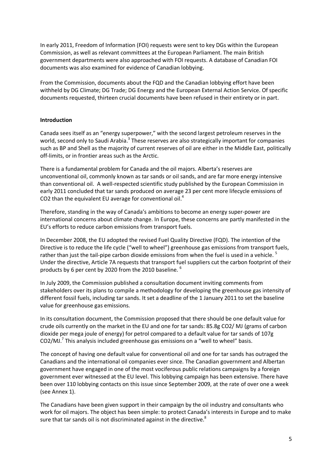In early 2011, Freedom of Information (FOI) requests were sent to key DGs within the European Commission, as well as relevant committees at the European Parliament. The main British government departments were also approached with FOI requests. A database of Canadian FOI documents was also examined for evidence of Canadian lobbying.

From the Commission, documents about the FQD and the Canadian lobbying effort have been withheld by DG Climate; DG Trade; DG Energy and the European External Action Service. Of specific documents requested, thirteen crucial documents have been refused in their entirety or in part.

#### **Introduction**

Canada sees itself as an "energy superpower," with the second largest petroleum reserves in the world, second only to Saudi Arabia.<sup>[3](#page-27-2)</sup> These reserves are also strategically important for companies such as BP and Shell as the majority of current reserves of oil are either in the Middle East, politically off-limits, or in frontier areas such as the Arctic.

There is a fundamental problem for Canada and the oil majors. Alberta's reserves are unconventional oil, commonly known as tar sands or oil sands, and are far more energy intensive than conventional oil. A well-respected scientific study published by the European Commission in early 2011 concluded that tar sands produced on average 23 per cent more lifecycle emissions of CO2than the equivalent EU average for conventional oi[l.](#page-27-3)<sup>[4](#page-27-3)</sup>

Therefore, standing in the way of Canada's ambitions to become an energy super-power are international concerns about climate change. In Europe, these concerns are partly manifested in the EU's efforts to reduce carbon emissions from transport fuels.

In December 2008, the EU adopted the revised Fuel Quality Directive (FQD). The intention of the Directive is to reduce the life cycle ("well to wheel") greenhouse gas emissions from transport fuels, rather than just the tail-pipe carbon dioxide emissions from when the fuel is used in a vehicle.  $^5$  $^5$ Under the directive, Article 7A requests that transport fuel suppliers cut the carbon footprint of their products by [6](#page-27-5) per cent by 2020 from the 2010 baseline.<sup>6</sup>

In July 2009, the Commission published a consultation document inviting comments from stakeholders over its plans to compile a methodology for developing the greenhouse gas intensity of different fossil fuels, including tar sands. It set a deadline of the 1 January 2011 to set the baseline value for greenhouse gas emissions.

In its consultation document, the Commission proposed that there should be one default value for crude oils currently on the market in the EU and one for tar sands: 85.8g CO2/ MJ (grams of carbon dioxide per mega joule of energy) for petrol compared to a default value for tar sands of 107g CO2/MJ. $^7$  $^7$  [Th](#page-27-6)is analysis included greenhouse gas emissions on a "well to wheel" basis.

The concept of having one default value for conventional oil and one for tar sands has outraged the Canadians and the international oil companies ever since. The Canadian government and Albertan government have engaged in one of the most vociferous public relations campaigns by a foreign government ever witnessed at the EU level. This lobbying campaign has been extensive. There have been over 110 lobbying contacts on this issue since September 2009, at the rate of over one a week (see Annex 1).

The Canadians have been given support in their campaign by the oil industry and consultants who work for oil majors. The object has been simple: to protect Canada's interests in Europe and to make sure that tar sands oil is not discriminated against in the directive. $8$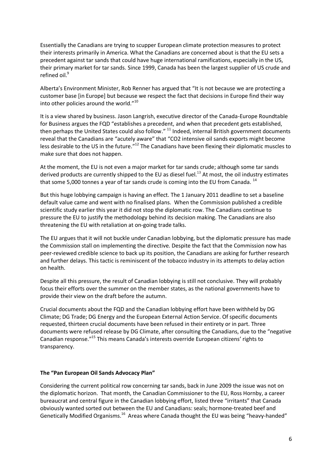Essentially the Canadians are trying to scupper European climate protection measures to protect their interests primarily in America. What the Canadians are concerned about is that the EU sets a precedent against tar sands that could have huge international ramifications, especially in the US, their primary market for tar sands. Since 1999, Canada has been the largest supplier of US crude and refined oil.<sup>[9](#page-27-8)</sup>

Alberta's Environment Minister, Rob Renner has argued that "It is not because we are protecting a customer base [in Europe] but because we respect the fact that decisions in Europe find their way into other policies around the world."[10](#page-27-9)

It is a view shared by business. Jason Langrish, executive director of the Canada-Europe Roundtable for Business argues the FQD "establishes a precedent, and when that precedent gets established, then perhaps the United States could also follow." <sup>[11](#page-27-10)</sup> Indeed, internal British government documents reveal that the Canadians are "acutely aware" that "CO2 intensive oil sands exports might become less desirable to the US in the future."<sup>[12](#page-27-11)</sup> The Canadians have been flexing their diplomatic muscles to make sure that does not happen.

At the moment, the EU is not even a major market for tar sands crude; although some tar sands derived products are currently shipped to the EU as diesel fuel.<sup>[13](#page-27-12)</sup> At most, the oil industry estimates that some 5,000 tonnes a year of tar sands crude is coming into the EU from Canada.  $^{14}$  $^{14}$  $^{14}$ 

But this huge lobbying campaign is having an effect. The 1 January 2011 deadline to set a baseline default value came and went with no finalised plans. When the Commission published a credible scientific study earlier this year it did not stop the diplomatic row. The Canadians continue to pressure the EU to justify the methodology behind its decision making. The Canadians are also threatening the EU with retaliation at on-going trade talks.

The EU argues that it will not buckle under Canadian lobbying, but the diplomatic pressure has made the Commission stall on implementing the directive. Despite the fact that the Commission now has peer-reviewed credible science to back up its position, the Canadians are asking for further research and further delays. This tactic is reminiscent of the tobacco industry in its attempts to delay action on health.

Despite all this pressure, the result of Canadian lobbying is still not conclusive. They will probably focus their efforts over the summer on the member states, as the national governments have to provide their view on the draft before the autumn.

Crucial documents about the FQD and the Canadian lobbying effort have been withheld by DG Climate; DG Trade; DG Energy and the European External Action Service. Of specific documents requested, thirteen crucial documents have been refused in their entirety or in part. Three documents were refused release by DG Climate, after consulting the Canadians, due to the "negative Canadian response."[15](#page-27-14) This means Canada's interests override European citizens' rights to transparency.

#### **The "Pan European Oil Sands Advocacy Plan"**

Considering the current political row concerning tar sands, back in June 2009 the issue was not on the diplomatic horizon. That month, the Canadian Commissioner to the EU, Ross Hornby, a career bureaucrat and central figure in the Canadian lobbying effort, listed three "irritants" that Canada obviously wanted sorted out between the EU and Canadians: seals; hormone-treated beef and Genetically Modified Organisms.<sup>[16](#page-27-15)</sup> Areas where Canada thought the EU was being "heavy-handed"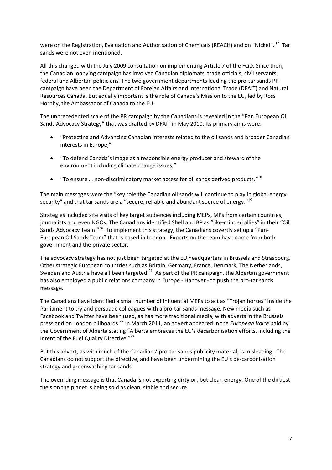were on the Registration, Evaluation and Authorisation of Chemicals (REACH) and on "Nickel". <sup>[17](#page-27-16)</sup> Tar sands were not even mentioned.

All this changed with the July 2009 consultation on implementing Article 7 of the FQD. Since then, the Canadian lobbying campaign has involved Canadian diplomats, trade officials, civil servants, federal and Albertan politicians. The two government departments leading the pro-tar sands PR campaign have been the Department of Foreign Affairs and International Trade (DFAIT) and Natural Resources Canada. But equally important is the role of Canada's Mission to the EU, led by Ross Hornby, the Ambassador of Canada to the EU.

The unprecedented scale of the PR campaign by the Canadians is revealed in the "Pan European Oil Sands Advocacy Strategy" that was drafted by DFAIT in May 2010. Its primary aims were:

- "Protecting and Advancing Canadian interests related to the oil sands and broader Canadian interests in Europe;"
- "To defend Canada's image as a responsible energy producer and steward of the environment including climate change issues;"
- $\bullet$  "To ensure ... non-discriminatory market access for oil sands derived products."<sup>[18](#page-27-17)</sup>

The main messages were the "key role the Canadian oil sands will continue to play in global energy security" and that tar sands are a "secure, reliable and abundant source of energy."<sup>[19](#page-27-18)</sup>

Strategies included site visits of key target audiences including MEPs, MPs from certain countries, journalists and even NGOs. The Canadians identified Shell and BP as "like-minded allies" in their "Oil Sands Advocacy Team."<sup>[20](#page-27-19)</sup> To implement this strategy, the Canadians covertly set up a "Pan-European Oil Sands Team" that is based in London. Experts on the team have come from both government and the private sector.

The advocacy strategy has not just been targeted at the EU headquarters in Brussels and Strasbourg. Other strategic European countries such as Britain, Germany, France, Denmark, The Netherlands, Sweden and Austria have all been targeted.<sup>[21](#page-27-20)</sup> As part of the PR campaign, the Albertan government has also employed a public relations company in Europe - Hanover - to push the pro-tar sands message.

The Canadians have identified a small number of influential MEPs to act as "Trojan horses" inside the Parliament to try and persuade colleagues with a pro-tar sands message. New media such as Facebook and Twitter have been used, as has more traditional media, with adverts in the Brussels press and on London billboards[.](#page-27-21) [22](#page-27-21) In March 2011, an advert appeared in the *European Voice* paid by the Government of Alberta stating "Alberta embraces the EU's decarbonisation efforts, including the intent of the Fuel Quality Directive."<sup>[23](#page-27-22)</sup>

But this advert, as with much of the Canadians' pro-tar sands publicity material, is misleading. The Canadians do not support the directive, and have been undermining the EU's de-carbonisation strategy and greenwashing tar sands.

The overriding message is that Canada is not exporting dirty oil, but clean energy. One of the dirtiest fuels on the planet is being sold as clean, stable and secure.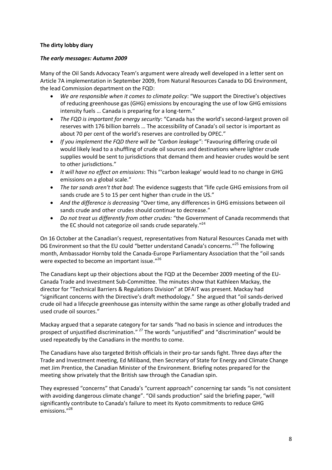#### **The dirty lobby diary**

#### *The early messages: Autumn 2009*

Many of the Oil Sands Advocacy Team's argument were already well developed in a letter sent on Article 7A implementation in September 2009, from Natural Resources Canada to DG Environment, the lead Commission department on the FQD:

- *We are responsible when it comes to climate policy*: "We support the Directive's objectives of reducing greenhouse gas (GHG) emissions by encouraging the use of low GHG emissions intensity fuels … Canada is preparing for a long-term."
- *The FQD is important for energy security*: "Canada has the world's second-largest proven oil reserves with 176 billion barrels … The accessibility of Canada's oil sector is important as about 70 per cent of the world's reserves are controlled by OPEC."
- *If you implement the FQD there will be "Carbon leakage"*: "Favouring differing crude oil would likely lead to a shuffling of crude oil sources and destinations where lighter crude supplies would be sent to jurisdictions that demand them and heavier crudes would be sent to other jurisdictions."
- *It will have no effect on emissions*: This "'carbon leakage' would lead to no change in GHG emissions on a global scale."
- *The tar sands aren't that bad*: The evidence suggests that "life cycle GHG emissions from oil sands crude are 5 to 15 per cent higher than crude in the US."
- *And the difference is decreasing* "Over time, any differences in GHG emissions between oil sands crude and other crudes should continue to decrease."
- *Do not treat us differently from other crudes:* "the Government of Canada recommends that the EC should not categorize oil sands crude separately."<sup>[24](#page-27-23)</sup>

On 16 October at the Canadian's request, representatives from Natural Resources Canada met with DG Environment so that the EU could "better understand Canada's concerns."<sup>[25](#page-27-24)</sup> The following month, Ambassador Hornby told the Canada-Europe Parliamentary Association that the "oil sands were expected to become an important issue."<sup>[26](#page-27-25)</sup>

The Canadians kept up their objections about the FQD at the December 2009 meeting of the EU-Canada Trade and Investment Sub-Committee. The minutes show that Kathleen Mackay, the director for "Technical Barriers & Regulations Division" at DFAIT was present. Mackay had "significant concerns with the Directive's draft methodology." She argued that "oil sands-derived crude oil had a lifecycle greenhouse gas intensity within the same range as other globally traded and used crude oil sources."

Mackay argued that a separate category for tar sands "had no basis in science and introduces the prospect of unjustified discrimination." <sup>[27](#page-27-26)</sup> The words "unjustified" and "discrimination" would be used repeatedly by the Canadians in the months to come.

The Canadians have also targeted British officials in their pro-tar sands fight. Three days after the Trade and Investment meeting, Ed Miliband, then Secretary of State for Energy and Climate Change met Jim Prentice, the Canadian Minister of the Environment. Briefing notes prepared for the meeting show privately that the British saw through the Canadian spin.

They expressed "concerns" that Canada's "current approach" concerning tar sands "is not consistent with avoiding dangerous climate change". "Oil sands production" said the briefing paper, "will significantly contribute to Canada's failure to meet its Kyoto commitments to reduce GHG emissions." [28](#page-27-27)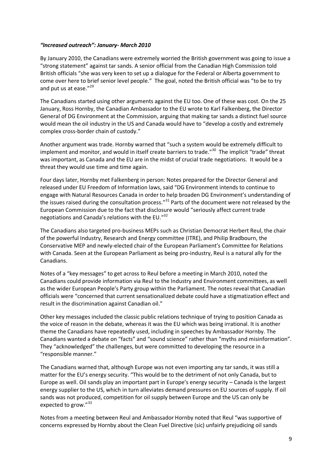#### *"Increased outreach": January- March 2010*

By January 2010, the Canadians were extremely worried the British government was going to issue a "strong statement" against tar sands. A senior official from the Canadian High Commission told British officials "she was very keen to set up a dialogue for the Federal or Alberta government to come over here to brief senior level people." The goal, noted the British official was "to be to try and put us at ease."<sup>[29](#page-27-28)</sup>

The Canadians started using other arguments against the EU too. One of these was cost. On the 25 January, Ross Hornby, the Canadian Ambassador to the EU wrote to Karl Falkenberg, the Director General of DG Environment at the Commission, arguing that making tar sands a distinct fuel source would mean the oil industry in the US and Canada would have to "develop a costly and extremely complex cross-border chain of custody."

Another argument was trade. Hornby warned that "such a system would be extremely difficult to implement and monitor, and would in itself create barriers to trade."<sup>[30](#page-27-29)</sup> The implicit "trade" threat was important, as Canada and the EU are in the midst of crucial trade negotiations. It would be a threat they would use time and time again.

Four days later, Hornby met Falkenberg in person: Notes prepared for the Director General and released under EU Freedom of Information laws, said "DG Environment intends to continue to engage with Natural Resources Canada in order to help broaden DG Environment's understanding of the issues raised during the consultation process."<sup>[31](#page-27-30)</sup> Parts of the document were not released by the European Commission due to the fact that disclosure would "seriously affect current trade negotiationsand Canada's relations with the EU.["](#page-27-31)<sup>[32](#page-27-31)</sup>

The Canadians also targeted pro-business MEPs such as Christian Democrat Herbert Reul, the chair of the powerful Industry, Research and Energy committee (ITRE), and Philip Bradbourn, the Conservative MEP and newly-elected chair of the European Parliament's Committee for Relations with Canada. Seen at the European Parliament as being pro-industry, Reul is a natural ally for the Canadians.

Notes of a "key messages" to get across to Reul before a meeting in March 2010, noted the Canadians could provide information via Reul to the Industry and Environment committees, as well as the wider European People's Party group within the Parliament. The notes reveal that Canadian officials were "concerned that current sensationalized debate could have a stigmatization effect and result in the discrimination against Canadian oil."

Other key messages included the classic public relations technique of trying to position Canada as the voice of reason in the debate, whereas it was the EU which was being irrational. It is another theme the Canadians have repeatedly used, including in speeches by Ambassador Hornby. The Canadians wanted a debate on "facts" and "sound science" rather than "myths and misinformation". They "acknowledged" the challenges, but were committed to developing the resource in a "responsible manner."

The Canadians warned that, although Europe was not even importing any tar sands, it was still a matter for the EU's energy security. "This would be to the detriment of not only Canada, but to Europe as well. Oil sands play an important part in Europe's energy security – Canada is the largest energy supplier to the US, which in turn alleviates demand pressures on EU sources of supply. If oil sands was not produced, competition for oil supply between Europe and the US can only be expected to grow."<sup>[33](#page-27-32)</sup>

Notes from a meeting between Reul and Ambassador Hornby noted that Reul "was supportive of concerns expressed by Hornby about the Clean Fuel Directive (sic) unfairly prejudicing oil sands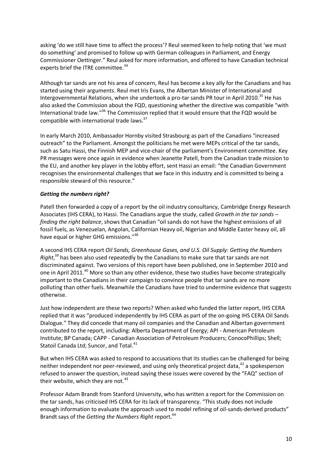asking 'do we still have time to affect the process'? Reul seemed keen to help noting that 'we must do something' and promised to follow up with German colleagues in Parliament, and Energy Commissioner Oettinger." Reul asked for more information, and offered to have Canadian technical experts brief the ITRE committee.<sup>[34](#page-27-33)</sup>

Although tar sands are not his area of concern, Reul has become a key ally for the Canadians and has started using their arguments. Reul met Iris Evans, the Albertan Minister of International and Intergovernmental Relations, when she undertook a pro-tar sands PR tour in April 2010.<sup>[35](#page-27-34)</sup> He has also asked the Commission about the FQD, questioning whether the directive was compatible "with International trade law.["](#page-27-35)<sup>[36](#page-27-35)</sup> [T](#page-27-35)he Commission replied that it would ensure that the FQD would be compatible with international trade law[s.](#page-27-36)<sup>[37](#page-27-36)</sup>

In early March 2010, Ambassador Hornby visited Strasbourg as part of the Canadians "increased outreach" to the Parliament. Amongst the politicians he met were MEPs critical of the tar sands, such as Satu Hassi, the Finnish MEP and vice-chair of the parliament's Environment committee. Key PR messages were once again in evidence when Jeanette Patell, from the Canadian trade mission to the EU, and another key player in the lobby effort, sent Hassi an email: "the Canadian Government recognises the environmental challenges that we face in this industry and is committed to being a responsible steward of this resource."

#### *Getting the numbers right?*

Patell then forwarded a copy of a report by the oil industry consultancy, Cambridge Energy Research Associates (IHS CERA), to Hassi. The Canadians argue the study, called *Growth in the tar sands – finding the right balance*, shows that Canadian "oil sands do not have the highest emissions of all fossil fuels, as Venezuelan, Angolan, Californian Heavy oil, Nigerian and Middle Easter heavy oil, all have equal or higher GHG emissions."<sup>[38](#page-27-37)</sup>

A second IHS CERA report *Oil Sands, Greenhouse Gases, and U.S. Oil Supply: Getting the Numbers Right*, [39](#page-27-38) has been also used repeatedly by the Canadians to make sure that tar sands are not discriminated against. Two versions of this report have been published, one in September 2010 and one in April 2011.<sup>[40](#page-27-39)</sup> More so than any other evidence, these two studies have become strategically important to the Canadians in their campaign to convince people that tar sands are no more polluting than other fuels. Meanwhile the Canadians have tried to undermine evidence that suggests otherwise.

Just how independent are these two reports? When asked who funded the latter report, IHS CERA replied that it was "produced independently by IHS CERA as part of the on-going IHS CERA Oil Sands Dialogue." They did concede that many oil companies and the Canadian and Albertan government contributed to the report, including: Alberta Department of Energy; API - American Petroleum Institute; BP Canada; CAPP - Canadian Association of Petroleum Producers; ConocoPhillips; Shell; Statoil Canada Ltd; Suncor, and Tota[l.](#page-27-40)<sup>[41](#page-27-40)</sup>

But when IHS CERA was asked to respond to accusations that its studies can be challenged for being neither independent nor peer-reviewed, and using only theoretical project data,<sup>[42](#page-27-41)</sup> a spokesperson refused to answer the question, instead saying these issues were covered by the "FAQ" section of their website, which they are not. $43$ 

Professor Adam Brandt from Stanford University, who has written a report for the Commission on the tar sands, has criticised IHS CERA for its lack of transparency. "This study does not include enough information to evaluate the approach used to model refining of oil-sands-derived products" Brandt says of the *Getting the Numbers Right* report. [44](#page-27-43)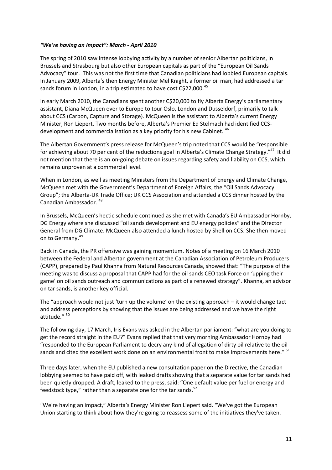#### *"We're having an impact": March - April 2010*

The spring of 2010 saw intense lobbying activity by a number of senior Albertan politicians, in Brussels and Strasbourg but also other European capitals as part of the "European Oil Sands Advocacy" tour. This was not the first time that Canadian politicians had lobbied European capitals. In January 2009, Alberta's then Energy Minister Mel Knight, a former oil man, had addressed a tar sands forum in London, in a trip estimated to have cost C\$22,000[.](#page-27-44)<sup>[45](#page-27-44)</sup>

In early March 2010, the Canadians spent another C\$20,000 to fly Alberta Energy's parliamentary assistant, Diana McQueen over to Europe to tour Oslo, London and Dusseldorf, primarily to talk about CCS (Carbon, Capture and Storage). McQueen is the assistant to Alberta's current Energy Minister, Ron Liepert. Two months before, Alberta's Premier Ed Stelmach had identified CCS-development and commercialisation as a key priority for his new Cabinet. <sup>[46](#page-27-45)</sup>

The Albertan Government's press release for McQueen's trip noted that CCS would be "responsible for achieving about 70 per cent of the reductions goal in Alberta's Climate Change Strategy."<sup>[47](#page-27-46)</sup> It did not mention that there is an on-going debate on issues regarding safety and liability on CCS, which remains unproven at a commercial level.

When in London, as well as meeting Ministers from the Department of Energy and Climate Change, McQueen met with the Government's Department of Foreign Affairs, the "Oil Sands Advocacy Group"; the Alberta-UK Trade Office; UK CCS Association and attended a CCS dinner hosted by the Canadian Ambassador. [48](#page-27-47)

In Brussels, McQueen's hectic schedule continued as she met with Canada's EU Ambassador Hornby, DG Energy where she discussed "oil sands development and EU energy policies" and the Director General from DG Climate. McQueen also attended a lunch hosted by Shell on CCS. She then moved on to Germany.<sup>[49](#page-27-48)</sup>

Back in Canada, the PR offensive was gaining momentum. Notes of a meeting on 16 March 2010 between the Federal and Albertan government at the Canadian Association of Petroleum Producers (CAPP), prepared by Paul Khanna from Natural Resources Canada, showed that: "The purpose of the meeting was to discuss a proposal that CAPP had for the oil sands CEO task Force on 'upping their game' on oil sands outreach and communications as part of a renewed strategy". Khanna, an advisor on tar sands, is another key official.

The "approach would not just 'turn up the volume' on the existing approach – it would change tact and address perceptions by showing that the issues are being addressed and we have the right attitude." <sup>[50](#page-27-49)</sup>

The following day, 17 March, Iris Evans was asked in the Albertan parliament: "what are you doing to get the record straight in the EU?" Evans replied that that very morning Ambassador Hornby had "responded to the European Parliament to decry any kind of allegation of dirty oil relative to the oil sands and cited the excellent work done on an environmental front to make improvements here."  $^{51}$  $^{51}$  $^{51}$ 

Three days later, when the EU published a new consultation paper on the Directive, the Canadian lobbying seemed to have paid off, with leaked drafts showing that a separate value for tar sands had been quietly dropped. A draft, leaked to the press, said: "One default value per fuel or energy and feedstock type," rather than a separate one for the tar sands. $52$ 

"We're having an impact," Alberta's Energy Minister Ron Liepert said. "We've got the European Union starting to think about how they're going to reassess some of the initiatives they've taken.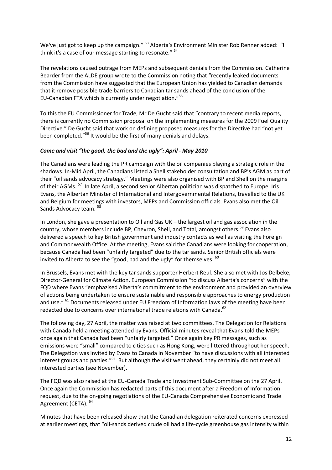We've just got to keep up the campaign." <sup>[53](#page-27-52)</sup> Alberta's Environment Minister Rob Renner added: "I think it's a case of our message starting to resonate." <sup>[54](#page-27-53)</sup>

The revelations caused outrage from MEPs and subsequent denials from the Commission. Catherine Bearder from the ALDE group wrote to the Commission noting that "recently leaked documents from the Commission have suggested that the European Union has yielded to Canadian demands that it remove possible trade barriers to Canadian tar sands ahead of the conclusion of the EU-Canadian FTA which is currently under negotiation."<sup>[55](#page-27-54)</sup>

To this the EU Commissioner for Trade, Mr De Gucht said that "contrary to recent media reports, there is currently no Commission proposal on the implementing measures for the 2009 Fuel Quality Directive." De Gucht said that work on defining proposed measures for the Directive had "not yet been completed."<sup>[56](#page-27-55)</sup> It would be the first of many denials and delays.

#### *Come and visit "the good, the bad and the ugly": April - May 2010*

The Canadians were leading the PR campaign with the oil companies playing a strategic role in the shadows. In-Mid April, the Canadians listed a Shell stakeholder consultation and BP's AGM as part of their "oil sands advocacy strategy." Meetings were also organised with BP and Shell on the margins of their AGMs. <sup>[57](#page-27-56)</sup> In late April, a second senior Albertan politician was dispatched to Europe. Iris Evans, the Albertan Minister of International and Intergovernmental Relations, travelled to the UK and Belgium for meetings with investors, MEPs and Commission officials. Evans also met the Oil Sands Advocacy team.<sup>[58](#page-27-57)</sup>

In London, she gave a presentation to Oil and Gas UK – the largest oil and gas association in the country, whose members include BP, Chevron, Shell, and Total, amongst others.<sup>[59](#page-27-58)</sup> Evans also delivered a speech to key British government and industry contacts as well as visiting the Foreign and Commonwealth Office. At the meeting, Evans said the Canadians were looking for cooperation, because Canada had been "unfairly targeted" due to the tar sands. Senior British officials were invited to Alberta to see the "good, bad and the ugly" for themselves. <sup>[60](#page-27-59)</sup>

In Brussels, Evans met with the key tar sands supporter Herbert Reul. She also met with Jos Delbeke, Director-General for Climate Action, European Commission "to discuss Alberta's concerns" with the FQD where Evans "emphazised Alberta's commitment to the environment and provided an overview of actions being undertaken to ensure sustainable and responsible approaches to energy production and use." <sup>[61](#page-27-60)</sup> Documents released under EU Freedom of Information laws of the meeting have been redacted due to concerns over international trade relations with Canada.<sup>[62](#page-27-61)</sup>

The following day, 27 April, the matter was raised at two committees. The Delegation for Relations with Canada held a meeting attended by Evans. Official minutes reveal that Evans told the MEPs once again that Canada had been "unfairly targeted." Once again key PR messages, such as emissions were "small" compared to cities such as Hong Kong, were littered throughout her speech. The Delegation was invited by Evans to Canada in November "to have discussions with all interested interest groups and parties."<sup>[63](#page-27-62)</sup> But although the visit went ahead, they certainly did not meet all interested parties (see November).

The FQD was also raised at the EU-Canada Trade and Investment Sub-Committee on the 27 April. Once again the Commission has redacted parts of this document after a Freedom of Information request, due to the on-going negotiations of the EU-Canada Comprehensive Economic and Trade Agreement (CETA).  $64$ 

Minutes that have been released show that the Canadian delegation reiterated concerns expressed at earlier meetings, that "oil-sands derived crude oil had a life-cycle greenhouse gas intensity within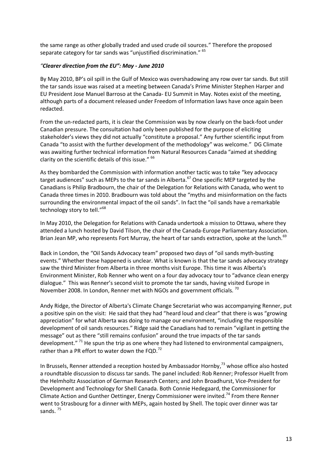the same range as other globally traded and used crude oil sources." Therefore the proposed separate category for tar sands was "unjustified discrimination." <sup>[65](#page-27-64)</sup>

#### *"Clearer direction from the EU": May - June 2010*

By May 2010, BP's oil spill in the Gulf of Mexico was overshadowing any row over tar sands. But still the tar sands issue was raised at a meeting between Canada's Prime Minister Stephen Harper and EU President Jose Manuel Barroso at the Canada- EU Summit in May. Notes exist of the meeting, although parts of a document released under Freedom of Information laws have once again been redacted.

From the un-redacted parts, it is clear the Commission was by now clearly on the back-foot under Canadian pressure. The consultation had only been published for the purpose of eliciting stakeholder's views they did not actually "constitute a proposal." Any further scientific input from Canada "to assist with the further development of the methodology" was welcome." DG Climate was awaiting further technical information from Natural Resources Canada "aimed at shedding clarity on the scientific details of this issue." <sup>[66](#page-27-65)</sup>

As they bombarded the Commission with information another tactic was to take "key advocacy target audiences" such as MEPs to the tar sands in Alberta.<sup>[67](#page-27-66)</sup> One specific MEP targeted by the Canadians is Philip Bradbourn, the chair of the Delegation for Relations with Canada, who went to Canada three times in 2010. Bradbourn was told about the "myths and misinformation on the facts surrounding the environmental impact of the oil sands". In fact the "oil sands have a remarkable technologystory to tell[."](#page-27-67)<sup>[68](#page-27-67)</sup>

In May 2010, the Delegation for Relations with Canada undertook a mission to Ottawa, where they attended a lunch hosted by David Tilson, the chair of the Canada-Europe Parliamentary Association. Brian Jean MP, who represents Fort Murray, the heart of tar sands extraction, spoke at the lunch.<sup>[69](#page-27-68)</sup>

Back in London, the "Oil Sands Advocacy team" proposed two days of "oil sands myth-busting events." Whether these happened is unclear. What is known is that the tar sands advocacy strategy saw the third Minister from Alberta in three months visit Europe. This time it was Alberta's Environment Minister, Rob Renner who went on a four day advocacy tour to "advance clean energy dialogue." This was Renner's second visit to promote the tar sands, having visited Europe in November 2008. In London, Renner met with NGOs and government officials.<sup>[70](#page-27-69)</sup>

Andy Ridge, the Director of Alberta's Climate Change Secretariat who was accompanying Renner, put a positive spin on the visit: He said that they had "heard loud and clear" that there is was "growing appreciation" for what Alberta was doing to manage our environment, "including the responsible development of oil sands resources." Ridge said the Canadians had to remain "vigilant in getting the message" out as there "still remains confusion" around the true impacts of the tar sands development." <sup>[71](#page-27-70)</sup> [He](#page-27-70) spun the trip as one where they had listened to environmental campaigners, rather than a PR effort to water down the FQD.<sup>[72](#page-27-71)</sup>

In Brussels, Renner attended a reception hosted by Ambassador Hornby,<sup>[73](#page-27-72)</sup> whose office also hosted a roundtable discussion to discuss tar sands. The panel included: Rob Renner; Professor Huellt from the Helmholtz Association of German Research Centers; and John Broadhurst, Vice-President for Development and Technology for Shell Canada. Both Connie Hedegaard, the Commissioner for Climate Action and Gunther Oettinger, Energy Commissioner were invited.[74](#page-27-73) From there Renner went to Strasbourg for a dinner with MEPs, again hosted by Shell. The topic over dinner was tar sands.  $75$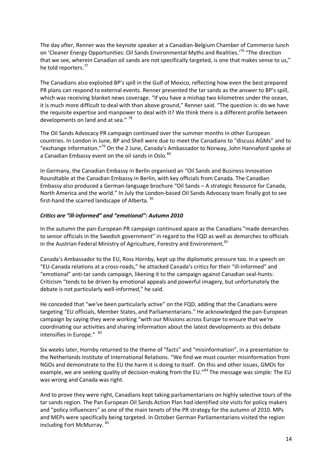The day after, Renner was the keynote speaker at a Canadian-Belgium Chamber of Commerce lunch on 'Cleaner Energy Opportunities: Oil Sands Environmental Myths and Realities.'<sup>[76](#page-27-75)</sup> "The direction that we see, wherein Canadian oil sands are not specifically targeted, is one that makes sense to us," he told reporters.<sup>[77](#page-27-76)</sup>

The Canadians also exploited BP's spill in the Gulf of Mexico, reflecting how even the best prepared PR plans can respond to external events. Renner presented the tar sands as the answer to BP's spill, which was receiving blanket news coverage. "If you have a mishap two kilometres under the ocean, it is much more difficult to deal with than above ground," Renner said. "The question is: do we have the requisite expertise and manpower to deal with it? We think there is a different profile between developments on land and at sea." [78](#page-27-77)

The Oil Sands Advocacy PR campaign continued over the summer months in other European countries. In London in June, BP and Shell were due to meet the Canadians to "discuss AGMs" and to "exchange information."[79](#page-27-78) On the 2 June, Canada's Ambassador to Norway, John Hannaford spoke at a Canadian Embassy event on the oil sands in Oslo.<sup>[80](#page-27-79)</sup>

In Germany, the Canadian Embassy in Berlin organised an "Oil Sands and Business Innovation Roundtable at the Canadian Embassy in Berlin, with key officials from Canada. The Canadian Embassy also produced a German-language brochure "Oil Sands – A strategic Resource for Canada, North America and the world." In July the London-based Oil Sands Advocacy team finally got to see first-hand the scarred landscape of Alberta. <sup>[81](#page-27-80)</sup>

#### *Critics are "ill-informed" and "emotional": Autumn 2010*

In the autumn the pan-European PR campaign continued apace as the Canadians "made demarches to senior officials in the Swedish government" in regard to the FQD as well as demarches to officials in the Austrian Federal Ministry of Agriculture, Forestry and Environment.<sup>[82](#page-27-81)</sup>

Canada's Ambassador to the EU, Ross Hornby, kept up the diplomatic pressure too. In a speech on "EU-Canada relations at a cross-roads," he attacked Canada's critics for their "ill-informed" and "emotional" anti-tar sands campaign, likening it to the campaign against Canadian seal-hunts: Criticism "tends to be driven by emotional appeals and powerful imagery, but unfortunately the debate is not particularly well-informed," he said.

He conceded that "we've been particularly active" on the FQD, adding that the Canadians were targeting "EU officials, Member States, and Parliamentarians." He acknowledged the pan-European campaign by saying they were working "with our Missions across Europe to ensure that we're coordinating our activities and sharing information about the latest developments as this debate intensifies in Europe." <sup>[83](#page-27-82)</sup>

Six weeks later, Hornby returned to the theme of "facts" and "misinformation", in a presentation to the Netherlands Institute of International Relations. "We find we must counter misinformation from NGOs and demonstrate to the EU the harm it is doing to itself. On this and other issues, GMOs for example, we are seeking quality of decision-making from the EU."<sup>[84](#page-27-83)</sup> The message was simple: The EU was wrong and Canada was right.

And to prove they were right, Canadians kept taking parliamentarians on highly selective tours of the tar sands region. The Pan European Oil Sands Action Plan had identified site visits for policy makers and "policy influencers" as one of the main tenets of the PR strategy for the autumn of 2010. MPs and MEPs were specifically being targeted. In October German Parliamentarians visited the region including Fort McMurray. [85](#page-27-84)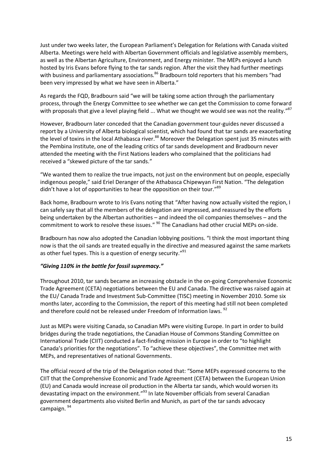Just under two weeks later, the European Parliament's Delegation for Relations with Canada visited Alberta. Meetings were held with Albertan Government officials and legislative assembly members, as well as the Albertan Agriculture, Environment, and Energy minister. The MEPs enjoyed a lunch hosted by Iris Evans before flying to the tar sands region. After the visit they had further meetings with business and parliamentary associations.<sup>[86](#page-27-85)</sup> Bradbourn told reporters that his members "had been very impressed by what we have seen in Alberta."

As regards the FQD, Bradbourn said "we will be taking some action through the parliamentary process, through the Energy Committee to see whether we can get the Commission to come forward with proposals that give a level playing field ... What we thought we would see was not the reality[."](#page-27-86)<sup>[87](#page-27-86)</sup>

However, Bradbourn later conceded that the Canadian government tour-guides never discussed a report by a University of Alberta biological scientist, which had found that tar sands are exacerbating the level of toxins in the local Athabasca river.<sup>[88](#page-27-87)</sup> Moreover the Delegation spent just 35 minutes with the Pembina Institute, one of the leading critics of tar sands development and Bradbourn never attended the meeting with the First Nations leaders who complained that the politicians had received a "skewed picture of the tar sands."

"We wanted them to realize the true impacts, not just on the environment but on people, especially indigenous people," said Eriel Deranger of the Athabasca Chipewyan First Nation. "The delegation didn't have a lot of opportunities to hear the opposition on their tour."<sup>[89](#page-27-46)</sup>

Back home, Bradbourn wrote to Iris Evans noting that "After having now actually visited the region, I can safely say that all the members of the delegation are impressed, and reassured by the efforts being undertaken by the Albertan authorities – and indeed the oil companies themselves – and the commitment to work to resolve these issues." <sup>[90](#page-27-47)</sup> The Canadians had other crucial MEPs on-side.

Bradbourn has now also adopted the Canadian lobbying positions. "I think the most important thing now is that the oil sands are treated equally in the directive and measured against the same markets as other fuel types. This is a question of energy security."<sup>[91](#page-27-88)</sup>

#### *"Giving 110% in the battle for fossil supremacy."*

Throughout 2010, tar sands became an increasing obstacle in the on-going Comprehensive Economic Trade Agreement (CETA) negotiations between the EU and Canada. The directive was raised again at the EU/ Canada Trade and Investment Sub-Committee (TISC) meeting in November 2010. Some six months later, according to the Commission, the report of this meeting had still not been completed and therefore could not be released under Freedom of Information laws. <sup>[92](#page-27-48)</sup>

Just as MEPs were visiting Canada, so Canadian MPs were visiting Europe. In part in order to build bridges during the trade negotiations, the Canadian House of Commons Standing Committee on International Trade (CIIT) conducted a fact-finding mission in Europe in order to "to highlight Canada's priorities for the negotiations". To "achieve these objectives", the Committee met with MEPs, and representatives of national Governments.

The official record of the trip of the Delegation noted that: "Some MEPs expressed concerns to the CIIT that the Comprehensive Economic and Trade Agreement (CETA) between the European Union (EU) and Canada would increase oil production in the Alberta tar sands, which would worsen its devastating impact on the environment."<sup>[93](#page-27-49)</sup> In late November officials from several Canadian government departments also visited Berlin and Munich, as part of the tar sands advocacy campaign. [94](#page-27-89)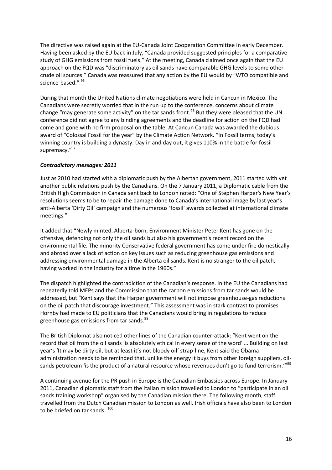The directive was raised again at the EU-Canada Joint Cooperation Committee in early December. Having been asked by the EU back in July, "Canada provided suggested principles for a comparative study of GHG emissions from fossil fuels." At the meeting, Canada claimed once again that the EU approach on the FQD was "discriminatory as oil sands have comparable GHG levels to some other crude oil sources." Canada was reassured that any action by the EU would by "WTO compatible and science-based." <sup>[95](#page-27-90)</sup>

During that month the United Nations climate negotiations were held in Cancun in Mexico. The Canadians were secretly worried that in the run up to the conference, concerns about climate change "may generate some activity" on the tar sands front.<sup>[96](#page-27-51)</sup> But they were pleased that the UN conference did not agree to any binding agreements and the deadline for action on the FQD had come and gone with no firm proposal on the table. At Cancun Canada was awarded the dubious award of "Colossal Fossil for the year" by the Climate Action Network. "In Fossil terms, today's winning country is building a dynasty. Day in and day out, it gives 110% in the battle for fossil supremacy."<sup>[97](#page-27-91)</sup>

#### *Contradictory messages: 2011*

Just as 2010 had started with a diplomatic push by the Albertan government, 2011 started with yet another public relations push by the Canadians. On the 7 January 2011, a Diplomatic cable from the British High Commission in Canada sent back to London noted: "One of Stephen Harper's New Year's resolutions seems to be to repair the damage done to Canada's international image by last year's anti-Alberta 'Dirty Oil' campaign and the numerous 'fossil' awards collected at international climate meetings."

It added that "Newly minted, Alberta-born, Environment Minister Peter Kent has gone on the offensive, defending not only the oil sands but also his government's recent record on the environmental file. The minority Conservative federal government has come under fire domestically and abroad over a lack of action on key issues such as reducing greenhouse gas emissions and addressing environmental damage in the Alberta oil sands. Kent is no stranger to the oil patch, having worked in the industry for a time in the 1960s."

The dispatch highlighted the contradiction of the Canadian's response. In the EU the Canadians had repeatedly told MEPs and the Commission that the carbon emissions from tar sands would be addressed, but "Kent says that the Harper government will not impose greenhouse-gas reductions on the oil patch that discourage investment." This assessment was in stark contrast to promises Hornby had made to EU politicians that the Canadians would bring in regulations to reduce greenhouse gas emissions from tar sands.<sup>[98](#page-27-52)</sup>

The British Diplomat also noticed other lines of the Canadian counter-attack: "Kent went on the record that oil from the oil sands 'is absolutely ethical in every sense of the word' … Building on last year's 'It may be dirty oil, but at least it's not bloody oil' strap-line, Kent said the Obama administration needs to be reminded that, unlike the energy it buys from other foreign suppliers, oil-sands petroleum 'is the product of a natural resource whose revenues don't go to fund terrorism.'"<sup>[99](#page-27-53)</sup>

A continuing avenue for the PR push in Europe is the Canadian Embassies across Europe. In January 2011, Canadian diplomatic staff from the Italian mission travelled to London to "participate in an oil sands training workshop" organised by the Canadian mission there. The following month, staff travelled from the Dutch Canadian mission to London as well. Irish officials have also been to London to be briefed on tar sands.<sup>[100](#page-27-92)</sup>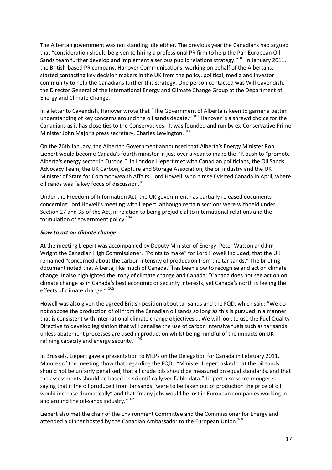The Albertan government was not standing idle either. The previous year the Canadians had argued that "consideration should be given to hiring a professional PR firm to help the Pan European Oil Sands team further develop and implement a serious public relations strategy."<sup>[101](#page-27-93)</sup> In January 2011, the British-based PR company, Hanover Communications, working on behalf of the Albertans, started contacting key decision makers in the UK from the policy, political, media and investor community to help the Canadians further this strategy. One person contacted was Will Cavendish, the Director General of the International Energy and Climate Change Group at the Department of Energy and Climate Change.

In a letter to Cavendish, Hanover wrote that "The Government of Alberta is keen to garner a better understanding of key concerns around the oil sands debate." <sup>[102](#page-27-94)</sup> Hanover is a shrewd choice for the Canadians as it has close ties to the Conservatives. It was founded and run by ex-Conservative Prime Minister John Major's press secretary, Charles Lewington.<sup>[103](#page-27-95)</sup>

On the 26th January, the Albertan Government announced that Alberta's Energy Minister Ron Liepert would become Canada's fourth minister in just over a year to make the PR push to "promote Alberta's energy sector in Europe." In London Liepert met with Canadian politicians, the Oil Sands Advocacy Team, the UK Carbon, Capture and Storage Association, the oil industry and the UK Minister of State for Commonwealth Affairs, Lord Howell, who himself visited Canada in April, where oil sands was "a key focus of discussion."

Under the Freedom of Information Act, the UK government has partially released documents concerning Lord Howell's meeting with Liepert, although certain sections were withheld under Section 27 and 35 of the Act, in relation to being prejudicial to international relations and the formulation of government policy.<sup>[104](#page-27-96)</sup>

#### *Slow to act on climate change*

At the meeting Liepert was accompanied by Deputy Minister of Energy, Peter Watson and Jim Wright the Canadian High Commissioner. "Points to make" for Lord Howell included, that the UK remained "concerned about the carbon intensity of production from the tar sands." The briefing document noted that Alberta, like much of Canada, "has been slow to recognise and act on climate change. It also highlighted the irony of climate change and Canada: "Canada does not see action on climate change as in Canada's best economic or security interests, yet Canada's north is feeling the effects of climate change." <sup>[105](#page-27-97)</sup>

Howell was also given the agreed British position about tar sands and the FQD, which said: "We do not oppose the production of oil from the Canadian oil sands so long as this is pursued in a manner that is consistent with international climate change objectives … We will look to use the Fuel Quality Directive to develop legislation that will penalise the use of carbon intensive fuels such as tar sands unless abatement processes are used in production whilst being mindful of the impacts on UK refining capacity and energy security."[106](#page-27-98)

In Brussels, Liepert gave a presentation to MEPs on the Delegation for Canada in February 2011. Minutes of the meeting show that regarding the FQD: "Minister Liepert asked that the oil sands should not be unfairly penalised, that all crude oils should be measured on equal standards, and that the assessments should be based on scientifically verifiable data." Liepert also scare-mongered saying that if the oil produced from tar sands "were to be taken out of production the price of oil would increase dramatically" and that "many jobs would be lost in European companies working in and around the oil-sands industry."<sup>[107](#page-27-99)</sup>

Liepert also met the chair of the Environment Committee and the Commissioner for Energy and attended a dinner hosted by the Canadian Ambassador to the European Union.<sup>[108](#page-27-100)</sup>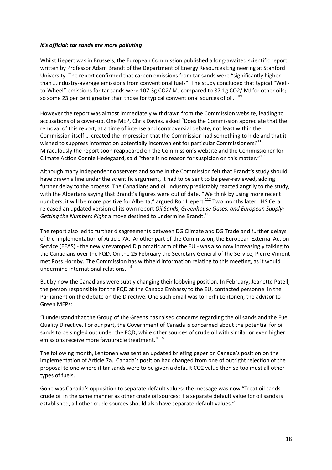#### *It's official: tar sands are more polluting*

Whilst Liepert was in Brussels, the European Commission published a long-awaited scientific report written by Professor Adam Brandt of the Department of Energy Resources Engineering at Stanford University. The report confirmed that carbon emissions from tar sands were "significantly higher than …industry-average emissions from conventional fuels". The study concluded that typical "Wellto-Wheel" emissions for tar sands were 107.3g CO2/ MJ compared to 87.1g CO2/ MJ for other oils; so some 23 per cent greater than those for typical conventional sources of oil. [109](#page-27-101)

However the report was almost immediately withdrawn from the Commission website, leading to accusations of a cover-up. One MEP, Chris Davies, asked "Does the Commission appreciate that the removal of this report, at a time of intense and controversial debate, not least within the Commission itself … created the impression that the Commission had something to hide and that it wished to suppress information potentially inconvenient for particular Commissioners?<sup>[110](#page-27-102)</sup> Miraculously the report soon reappeared on the Commission's website and the Commissioner for Climate Action Connie Hedegaard, said "there is no reason for suspicion on this matter."<sup>[111](#page-27-103)</sup>

Although many independent observers and some in the Commission felt that Brandt's study should have drawn a line under the scientific argument, it had to be sent to be peer-reviewed, adding further delay to the process. The Canadians and oil industry predictably reacted angrily to the study, with the Albertans saying that Brandt's figures were out of date. "We think by using more recent numbers, it will be more positive for Alberta," argued Ron Liepert.<sup>[112](#page-27-104)</sup> Two months later, IHS Cera released an updated version of its own report *Oil Sands, Greenhouse Gases, and European Supply:* Getting the Numbers Right a move destined to undermine Brandt.<sup>[113](#page-27-105)</sup>

The report also led to further disagreements between DG Climate and DG Trade and further delays of the implementation of Article 7A. Another part of the Commission, the European External Action Service (EEAS) - the newly revamped Diplomatic arm of the EU - was also now increasingly talking to the Canadians over the FQD. On the 25 February the Secretary General of the Service, Pierre Vimont met Ross Hornby. The Commission has withheld information relating to this meeting, as it would undermine international relations.<sup>[114](#page-27-106)</sup>

But by now the Canadians were subtly changing their lobbying position. In February, Jeanette Patell, the person responsible for the FQD at the Canada Embassy to the EU, contacted personnel in the Parliament on the debate on the Directive. One such email was to Terhi Lehtonen, the advisor to Green MEPs:

"I understand that the Group of the Greens has raised concerns regarding the oil sands and the Fuel Quality Directive. For our part, the Government of Canada is concerned about the potential for oil sands to be singled out under the FQD, while other sources of crude oil with similar or even higher emissions receive more favourable treatment."<sup>[115](#page-27-107)</sup>

The following month, Lehtonen was sent an updated briefing paper on Canada's position on the implementation of Article 7a. Canada's position had changed from one of outright rejection of the proposal to one where if tar sands were to be given a default CO2 value then so too must all other types of fuels.

Gone was Canada's opposition to separate default values: the message was now "Treat oil sands crude oil in the same manner as other crude oil sources: if a separate default value for oil sands is established, all other crude sources should also have separate default values."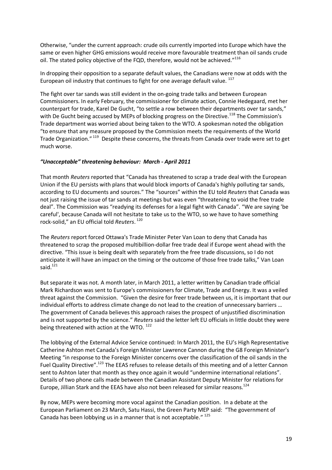Otherwise, "under the current approach: crude oils currently imported into Europe which have the same or even higher GHG emissions would receive more favourable treatment than oil sands crude oil. The stated policy objective of the FQD, therefore, would not be achieved."<sup>[116](#page-27-108)</sup>

In dropping their opposition to a separate default values, the Canadians were now at odds with the European oil industry that continues to fight for one average default value. <sup>[117](#page-27-109)</sup>

The fight over tar sands was still evident in the on-going trade talks and between European Commissioners. In early February, the commissioner for climate action, Connie Hedegaard, met her counterpart for trade, Karel De Gucht, "to settle a row between their departments over tar sands," with De Gucht being accused by MEPs of blocking progress on the Directive.<sup>[118](#page-27-110)</sup> The Commission's Trade department was worried about being taken to the WTO. A spokesman noted the obligation "to ensure that any measure proposed by the Commission meets the requirements of the World Trade Organization." <sup>[119](#page-27-111)</sup> Despite these concerns, the threats from Canada over trade were set to get much worse.

#### *"Unacceptable" threatening behaviour: March - April 2011*

That month *Reuters* reported that "Canada has threatened to scrap a trade deal with the European Union if the EU persists with plans that would block imports of Canada's highly polluting tar sands, according to EU documents and sources." The "sources" within the EU told *Reuters* that Canada was not just raising the issue of tar sands at meetings but was even "threatening to void the free trade deal". The Commission was "readying its defenses for a legal fight with Canada". "We are saying 'be careful', because Canada will not hesitate to take us to the WTO, so we have to have something rock-solid," an EU official told *Reuters*. [120](#page-27-112)

The *Reuters* report forced Ottawa's Trade Minister Peter Van Loan to deny that Canada has threatened to scrap the proposed multibillion-dollar free trade deal if Europe went ahead with the directive. "This issue is being dealt with separately from the free trade discussions, so I do not anticipate it will have an impact on the timing or the outcome of those free trade talks," Van Loan said. $121$ 

But separate it was not. A month later, in March 2011, a letter written by Canadian trade official Mark Richardson was sent to Europe's commissioners for Climate, Trade and Energy. It was a veiled threat against the Commission. "Given the desire for freer trade between us, it is important that our individual efforts to address climate change do not lead to the creation of unnecessary barriers … The government of Canada believes this approach raises the prospect of unjustified discrimination and is not supported by the science." *Reuters* said the letter left EU officials in little doubt they were being threatened with action at the WTO.  $^{122}$  $^{122}$  $^{122}$ 

The lobbying of the External Advice Service continued: In March 2011, the EU's High Representative Catherine Ashton met Canada's Foreign Minister Lawrence Cannon during the G8 Foreign Minister's Meeting "in response to the Foreign Minister concerns over the classification of the oil sands in the Fuel Quality Directive".<sup>[123](#page-27-115)</sup> The EEAS refuses to release details of this meeting and of a letter Cannon sent to Ashton later that month as they once again it would "undermine international relations". Details of two phone calls made between the Canadian Assistant Deputy Minister for relations for Europe, Jillian Stark and the EEAS have also not been released for similar reasons.[124](#page-27-116)

By now, MEPs were becoming more vocal against the Canadian position. In a debate at the European Parliament on 23 March, Satu Hassi, the Green Party MEP said: "The government of Canada has been lobbying us in a manner that is not acceptable." [125](#page-27-117)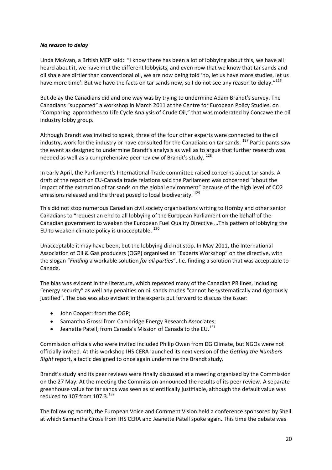#### *No reason to delay*

Linda McAvan, a British MEP said: "I know there has been a lot of lobbying about this, we have all heard about it, we have met the different lobbyists, and even now that we know that tar sands and oil shale are dirtier than conventional oil, we are now being told 'no, let us have more studies, let us have more time'. But we have the facts on tar sands now, so I do not see any reason to delay."<sup>[126](#page-27-118)</sup>

But delay the Canadians did and one way was by trying to undermine Adam Brandt's survey. The Canadians "supported" a workshop in March 2011 at the Centre for European Policy Studies, on "Comparing approaches to Life Cycle Analysis of Crude Oil," that was moderated by Concawe the oil industry lobby group.

Although Brandt was invited to speak, three of the four other experts were connected to the oil industry, work for the industry or have consulted for the Canadians on tar sands. <sup>[127](#page-27-119)</sup> Participants saw the event as designed to undermine Brandt's analysis as well as to argue that further research was needed as well as a comprehensive peer review of Brandt's study. <sup>[128](#page-27-120)</sup>

In early April, the Parliament's International Trade committee raised concerns about tar sands. A draft of the report on EU-Canada trade relations said the Parliament was concerned "about the impact of the extraction of tar sands on the global environment" because of the high level of CO2 emissions released and the threat posed to local biodiversity. <sup>[129](#page-27-121)</sup>

This did not stop numerous Canadian civil society organisations writing to Hornby and other senior Canadians to "request an end to all lobbying of the European Parliament on the behalf of the Canadian government to weaken the European Fuel Quality Directive …This pattern of lobbying the EU to weaken climate policy is unacceptable.  $^{130}$  $^{130}$  $^{130}$ 

Unacceptable it may have been, but the lobbying did not stop. In May 2011, the International Association of Oil & Gas producers (OGP) organised an "Experts Workshop" on the directive, with the slogan "*Finding* a workable solution *for all parties*". I.e. finding a solution that was acceptable to Canada.

The bias was evident in the literature, which repeated many of the Canadian PR lines, including "energy security" as well any penalties on oil sands crudes "cannot be systematically and rigorously justified". The bias was also evident in the experts put forward to discuss the issue:

- John Cooper: from the OGP;
- Samantha Gross: from Cambridge Energy Research Associates;
- **•** Jeanette Patell, from Canada's Mission of Canada to the EU.<sup>[131](#page-27-123)</sup>

Commission officials who were invited included Philip Owen from DG Climate, but NGOs were not officially invited. At this workshop IHS CERA launched its next version of the *Getting the Numbers Right* report, a tactic designed to once again undermine the Brandt study.

Brandt's study and its peer reviews were finally discussed at a meeting organised by the Commission on the 27 May. At the meeting the Commission announced the results of its peer review. A separate greenhouse value for tar sands was seen as scientifically justifiable, although the default value was reduced to 107 from  $107.3.^{132}$  $107.3.^{132}$  $107.3.^{132}$  $107.3.^{132}$  $107.3.^{132}$ 

The following month, the European Voice and Comment Vision held a conference sponsored by Shell at which Samantha Gross from IHS CERA and Jeanette Patell spoke again. This time the debate was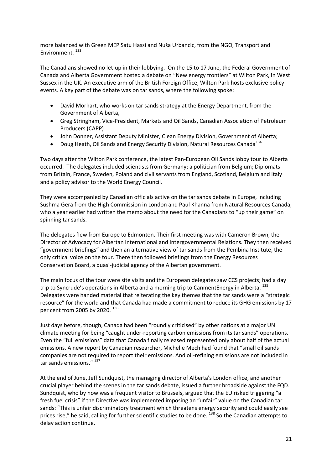more balanced with Green MEP Satu Hassi and Nuša Urbancic, from the NGO, Transport and Environment.<sup>[133](#page-27-125)</sup>

The Canadians showed no let-up in their lobbying. On the 15 to 17 June, the Federal Government of Canada and Alberta Government hosted a debate on "New energy frontiers" at Wilton Park, in West Sussex in the UK. An executive arm of the British Foreign Office, Wilton Park hosts exclusive policy events. A key part of the debate was on tar sands, where the following spoke:

- David Morhart, who works on tar sands strategy at the Energy Department, from the Government of Alberta,
- Greg Stringham, Vice-President, Markets and Oil Sands, Canadian Association of Petroleum Producers (CAPP)
- John Donner, Assistant Deputy Minister, Clean Energy Division, Government of Alberta;
- Doug Heath, Oil Sands and Energy Security Division, Natural Resources Canada<sup>[134](#page-27-126)</sup>

Two days after the Wilton Park conference, the latest Pan-European Oil Sands lobby tour to Alberta occurred. The delegates included scientists from Germany; a politician from Belgium; Diplomats from Britain, France, Sweden, Poland and civil servants from England, Scotland, Belgium and Italy and a policy advisor to the World Energy Council.

They were accompanied by Canadian officials active on the tar sands debate in Europe, including Sushma Gera from the High Commission in London and Paul Khanna from Natural Resources Canada, who a year earlier had written the memo about the need for the Canadians to "up their game" on spinning tar sands.

The delegates flew from Europe to Edmonton. Their first meeting was with Cameron Brown, the Director of Advocacy for Albertan International and Intergovernmental Relations. They then received "government briefings" and then an alternative view of tar sands from the Pembina Institute, the only critical voice on the tour. There then followed briefings from the Energy Resources Conservation Board, a quasi-judicial agency of the Albertan government.

The main focus of the tour were site visits and the European delegates saw CCS projects; had a day trip to Syncrude's operations in Alberta and a morning trip to CanmentEnergy in Alberta. [135](#page-27-127) Delegates were handed material that reiterating the key themes that the tar sands were a "strategic resource" for the world and that Canada had made a commitment to reduce its GHG emissions by 17 per cent from 2005 by 2020.<sup>[136](#page-27-128)</sup>

Just days before, though, Canada had been "roundly criticised" by other nations at a major UN climate meeting for being "caught under-reporting carbon emissions from its tar sands" operations. Even the "full emissions" data that Canada finally released represented only about half of the actual emissions. A new report by Canadian researcher, Michelle Mech had found that "small oil sands companies are not required to report their emissions. And oil-refining emissions are not included in tar sands emissions." <sup>[137](#page-27-129)</sup>

At the end of June, Jeff Sundquist, the managing director of Alberta's London office, and another crucial player behind the scenes in the tar sands debate, issued a further broadside against the FQD. Sundquist, who by now was a frequent visitor to Brussels, argued that the EU risked triggering "a fresh fuel crisis" if the Directive was implemented imposing an "unfair" value on the Canadian tar sands: "This is unfair discriminatory treatment which threatens energy security and could easily see prices rise," he said, calling for further scientific studies to be done. <sup>[138](#page-27-130)</sup> So the Canadian attempts to delay action continue.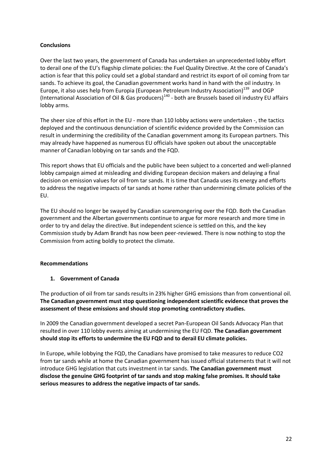#### **Conclusions**

Over the last two years, the government of Canada has undertaken an unprecedented lobby effort to derail one of the EU's flagship climate policies: the Fuel Quality Directive. At the core of Canada's action is fear that this policy could set a global standard and restrict its export of oil coming from tar sands. To achieve its goal, the Canadian government works hand in hand with the oil industry. In Europe, it also uses help from Europia (European Petroleum Industry Association)<sup>[139](#page-27-131)</sup> and OGP (International Association of Oil & Gas producers)<sup>[140](#page-27-132)</sup> [-](#page-27-132) both are Brussels based oil industry EU affairs lobby arms.

The sheer size of this effort in the EU - more than 110 lobby actions were undertaken -, the tactics deployed and the continuous denunciation of scientific evidence provided by the Commission can result in undermining the credibility of the Canadian government among its European partners. This may already have happened as numerous EU officials have spoken out about the unacceptable manner of Canadian lobbying on tar sands and the FQD.

This report shows that EU officials and the public have been subject to a concerted and well-planned lobby campaign aimed at misleading and dividing European decision makers and delaying a final decision on emission values for oil from tar sands. It is time that Canada uses its energy and efforts to address the negative impacts of tar sands at home rather than undermining climate policies of the EU.

The EU should no longer be swayed by Canadian scaremongering over the FQD. Both the Canadian government and the Albertan governments continue to argue for more research and more time in order to try and delay the directive. But independent science is settled on this, and the key Commission study by Adam Brandt has now been peer-reviewed. There is now nothing to stop the Commission from acting boldly to protect the climate.

#### **Recommendations**

#### **1. Government of Canada**

The production of oil from tar sands results in 23% higher GHG emissions than from conventional oil. **The Canadian government must stop questioning independent scientific evidence that proves the assessment of these emissions and should stop promoting contradictory studies.**

In 2009 the Canadian government developed a secret Pan-European Oil Sands Advocacy Plan that resulted in over 110 lobby events aiming at undermining the EU FQD. **The Canadian government should stop its efforts to undermine the EU FQD and to derail EU climate policies.**

In Europe, while lobbying the FQD, the Canadians have promised to take measures to reduce CO2 from tar sands while at home the Canadian government has issued official statements that it will not introduce GHG legislation that cuts investment in tar sands. **The Canadian government must disclose the genuine GHG footprint of tar sands and stop making false promises. It should take serious measures to address the negative impacts of tar sands.**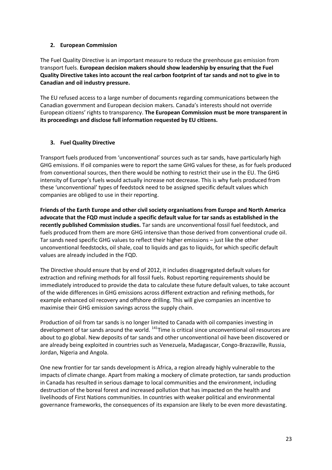#### **2. European Commission**

The Fuel Quality Directive is an important measure to reduce the greenhouse gas emission from transport fuels. **European decision makers should show leadership by ensuring that the Fuel Quality Directive takes into account the real carbon footprint of tar sands and not to give in to Canadian and oil industry pressure.**

The EU refused access to a large number of documents regarding communications between the Canadian government and European decision makers. Canada's interests should not override European citizens' rights to transparency. **The European Commission must be more transparent in its proceedings and disclose full information requested by EU citizens.**

#### **3. Fuel Quality Directive**

Transport fuels produced from 'unconventional' sources such as tar sands, have particularly high GHG emissions. If oil companies were to report the same GHG values for these, as for fuels produced from conventional sources, then there would be nothing to restrict their use in the EU. The GHG intensity of Europe's fuels would actually increase not decrease. This is why fuels produced from these 'unconventional' types of feedstock need to be assigned specific default values which companies are obliged to use in their reporting.

**Friends of the Earth Europe and other civil society organisations from Europe and North America advocate that the FQD must include a specific default value for tar sands as established in the recently published Commission studies.** Tar sands are unconventional fossil fuel feedstock, and fuels produced from them are more GHG intensive than those derived from conventional crude oil. Tar sands need specific GHG values to reflect their higher emissions – just like the other unconventional feedstocks, oil shale, coal to liquids and gas to liquids, for which specific default values are already included in the FQD.

The Directive should ensure that by end of 2012, it includes disaggregated default values for extraction and refining methods for all fossil fuels. Robust reporting requirements should be immediately introduced to provide the data to calculate these future default values, to take account of the wide differences in GHG emissions across different extraction and refining methods, for example enhanced oil recovery and offshore drilling. This will give companies an incentive to maximise their GHG emission savings across the supply chain.

Production of oil from tar sands is no longer limited to Canada with oil companies investing in development of tar sands around the world. <sup>[141](#page-27-133)</sup>Time is critical since unconventional oil resources are about to go global. New deposits of tar sands and other unconventional oil have been discovered or are already being exploited in countries such as Venezuela, Madagascar, Congo-Brazzaville, Russia, Jordan, Nigeria and Angola.

One new frontier for tar sands development is Africa, a region already highly vulnerable to the impacts of climate change. Apart from making a mockery of climate protection, tar sands production in Canada has resulted in serious damage to local communities and the environment, including destruction of the boreal forest and increased pollution that has impacted on the health and livelihoods of First Nations communities. In countries with weaker political and environmental governance frameworks, the consequences of its expansion are likely to be even more devastating.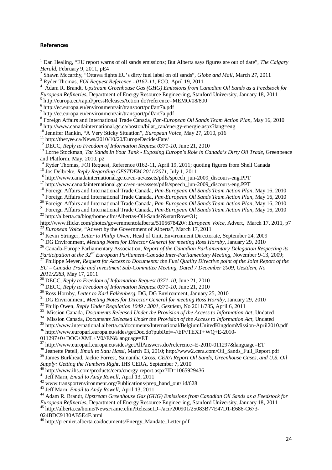#### **References**

 Dan Healing, "EU report warns of oil sands emissions; But Alberta says figures are out of date", *The Calgary Herald,* February 9, 2011, pE4

 Shawn Mccarthy, "Ottawa fights EU's dirty fuel label on oil sands", *Globe and Mail*, March 27, 2011

Ryder Thomas, *FOI Request Reference - 0162-11,* FCO, April 19, 2011

 Adam R. Brandt, *Upstream Greenhouse Gas (GHG) Emissions from Canadian Oil Sands as a Feedstock for European Refineries*, Department of Energy Resource Engineering, Stanford University, January 18, 2011

 http://europa.eu/rapid/pressReleasesAction.do?reference=MEMO/08/800

 http://ec.europa.eu/environment/air/transport/pdf/art7a.pdf

 http://ec.europa.eu/environment/air/transport/pdf/art7a.pdf

 Foreign Affairs and International Trade Canada, *Pan-European Oil Sands Team Action Plan*, May 16, 2010

<sup>9</sup> http://www.canadainternational.gc.ca/boston/bilat\_can/energy-energie.aspx?lang=eng

Jennifer Rankin, "A Very Sticky Situation", *European Voice*, May 27, 2010, p16

<sup>11</sup> http://thetyee.ca/News/2010/10/20/EuropeDecidesFate/

DECC, *Reply to Freedom of Information Request 0371-10*, June 21, 2010

 Lorne Stockman, *Tar Sands In Your Tank - Exposing Europe's Role in Canada's Dirty Oil Trade*, Greenpeace and Platform, May, 2010, p2

<sup>14</sup> Ryder Thomas, FOI Request, Reference 0162-11, April 19, 2011; quoting figures from Shell Canada

Jos Delbreke, *Reply Regarding GESTDEM 2011/2071*, July 1, 2011

http://www.canadainternational.gc.ca/eu-ue/assets/pdfs/speech\_jun-2009\_discours-eng.PPT

http://www.canadainternational.gc.ca/eu-ue/assets/pdfs/speech\_jun-2009\_discours-eng.PPT

Foreign Affairs and International Trade Canada, *Pan-European Oil Sands Team Action Plan*, May 16, 2010

Foreign Affairs and International Trade Canada, *Pan-European Oil Sands Team Action Plan*, May 16, 2010

Foreign Affairs and International Trade Canada, *Pan-European Oil Sands Team Action Plan*, May 16, 2010

Foreign Affairs and International Trade Canada, *Pan-European Oil Sands Team Action Plan*, May 16, 2010

 http://alberta.ca/blog/home.cfm/Albertas-Oil-Sands?&startRow=31; http://www.flickr.com/photos/governmentofalberta/5105678420/: *European Voice*, Advert, March 17, 2011, p7

<sup>23</sup> *European Voice*, "Advert by the Government of Alberta", March 17, 2011

Kevin Stringer, *Letter to Philip Owen*, Head of Unit, Environment Directorate, September 24, 2009

DG Environment, *Meeting Notes for Director General for meeting Ross Hornby*, January 29, 2010

Canada-Europe Parliamentary Association, *Report of the Canadian Parliamentary Delegation Respecting its*

*Participation at the 32nd European Parliament-Canada Inter-Parliamentary Meeting*, November 9-13, 2009;

 Philippe Meyer, *Request for Access to Documents: the Fuel Quality Directive point of the Joint Report of the EU – Canada Trade and Investment Sub-Committee Meeting, Dated 7 December 2009, Gestdem, No*

*2011/2283*, May 17, 2011

DECC, *Reply to Freedom of Information Request 0371-10*, June 21, 2010

DECC, *Reply to Freedom of Information Request 0371-10*, June 21, 2010

Ross Hornby, *Letter to Karl Falkenberg*, DG, DG Environment, January 25, 2010

DG Environment, *Meeting Notes for Director General for meeting Ross Hornby*, January 29, 2010

Philip Owen, *Reply Under Regulation 1049 / 2001, Gestdem*, No 2011/785, April 6, 2011

Mission Canada, *Documents Released Under the Provision of the Access to Information Act*, Undated

Mission Canada, *Documents Released Under the Provision of the Access to Information Act*, Undated

http://www.international.alberta.ca/documents/International/BelgiumUnitedKingdomMission-April2010.pdf

http://www.europarl.europa.eu/sides/getDoc.do?pubRef=-//EP//TEXT+WQ+E-2010-

011297+0+DOC+XML+V0//EN&language=ET

http://www.europarl.europa.eu/sides/getAllAnswers.do?reference=E-2010-011297&language=ET

Jeanette Patell, *Email to Satu Hassi*, March 03, 2010; http://www2.cera.com/Oil\_Sands\_Full\_Report.pdf

James Burkhead, Jackie Forrest, Samantha Gross, *CERA Report Oil Sands, Greenhouse Gases, and U.S. Oil*

*Supply: Getting the Numbers Right*, IHS CERA, September 7, 2010<br><sup>40</sup> http://www.ashiz.com/ashiz.com/ashiz.com/ashiz.com/ashiz.com/ashiz.com/ashiz.com/ashiz.com/ashiz.com/ashiz.com/<br><sup>40</sup> http://www.ashiz.com/ashiz.com/ashi

http://www.ihs.com/products/cera/energy-report.aspx?ID=1065929436

Jeff Marn, *Email to Andy Rowell*, April 13, 2011

www.transportenvironment.org/Publications/prep\_hand\_out/lid/628

Jeff Marn, *Email to Andy Rowell*, April 13, 2011

 Adam R. Brandt, *Upstream Greenhouse Gas (GHG) Emissions from Canadian Oil Sands as a Feedstock for European Refineries*, Department of Energy Resource Engineering, Stanford University, January 18, 2011 http://alberta.ca/home/NewsFrame.cfm?ReleaseID=/acn/200901/25083B77E47D1-E686-C673-

024BDC9130AB5E4F.html

http://premier.alberta.ca/documents/Energy\_Mandate\_Letter.pdf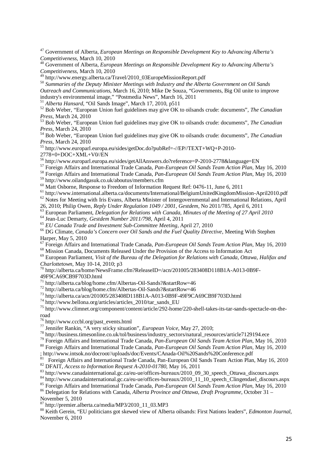Government of Alberta, *European Meetings on Responsible Development Key to Advancing Alberta's Competitiveness*, March 10, 2010

 Government of Alberta, *European Meetings on Responsible Development Key to Advancing Alberta's Competitiveness*, March 10, 2010

http://www.energy.alberta.ca/Travel/2010\_03EuropeMissionReport.pdf

 *Summaries of the Deputy Minister Meetings with Industry and the Alberta Government on Oil Sands Outreach and Communications*, March 16, 2010; Mike De Souza, "Governments, Big Oil unite to improve industry's environmental image," "Postmedia News", March 16, 2011

*Alberta Hansard*, "Oil Sands Image", March 17, 2010, p511

 Bob Weber, "European Union fuel guidelines may give OK to oilsands crude: documents", *The Canadian Press*, March 24, 2010

 Bob Weber, "European Union fuel guidelines may give OK to oilsands crude: documents", *The Canadian Press*, March 24, 2010

 Bob Weber, "European Union fuel guidelines may give OK to oilsands crude: documents", *The Canadian Press*, March 24, 2010

http://www.europarl.europa.eu/sides/getDoc.do?pubRef=-//EP//TEXT+WQ+P-2010-

2778+0+DOC+XML+V0//EN

http://www.europarl.europa.eu/sides/getAllAnswers.do?reference=P-2010-2778&language=EN

Foreign Affairs and International Trade Canada, *Pan-European Oil Sands Team Action Plan*, May 16, 2010

Foreign Affairs and International Trade Canada, *Pan-European Oil Sands Team Action Plan*, May 16, 2010

http://www.oilandgasuk.co.uk/aboutus/members.cfm

 $\frac{60}{100}$  Matt Osborne, Response to Freedom of Information Request Ref: 0476-11, June 6, 2011

http://www.international.alberta.ca/documents/International/BelgiumUnitedKingdomMission-April2010.pdf

<sup>62</sup> Notes for Meeting with Iris Evans, Alberta Minister of Intergovernmental and International Relations, April

26, 2010; Philip Owen, *Reply Under Regulation 1049 / 2001, Gestdem*, No 2011/785, April 6, 2011

 European Parliament, *Delegation for Relations with Canada, Minutes of the Meeting of 27 April 2010* Jean-Luc Demarty, *Gestdem Number 2011/798*, April 4, 2011

*EU Canada Trade and Investment Sub-Committee Meeting*, April 27, 2010

 DG Climate, *Canada's Concern over Oil Sands and the Fuel Quality Directive*, Meeting With Stephen Harper, May 5, 2010

Foreign Affairs and International Trade Canada, *Pan-European Oil Sands Team Action Plan*, May 16, 2010

<sup>68</sup> Mission Canada, Documents Released Under the Provision of the Access to Information Act

 European Parliament, *Visit of the Bureau of the Delegation for Relations with Canada, Ottawa, Halifax and Charlottetown*, May 10-14, 2010; p3

 http://alberta.ca/home/NewsFrame.cfm?ReleaseID=/acn/201005/283408D118B1A-A013-0B9F-49F9CA69CB9F703D.html

http://alberta.ca/blog/home.cfm/Albertas-Oil-Sands?&startRow=46

http://alberta.ca/blog/home.cfm/Albertas-Oil-Sands?&startRow=46

http://alberta.ca/acn/201005/283408D118B1A-A013-0B9F-49F9CA69CB9F703D.html

http://www.bellona.org/articles/articles\_2010/tar\_sands\_EU

 http://www.climnet.org/component/content/article/292-home/220-shell-takes-its-tar-sands-spectacle-on-theroad

http://www.cccbl.org/past\_events.html

Jennifer Rankin, "A very sticky situation", *European Voice*, May 27, 2010;

http://business.timesonline.co.uk/tol/business/industry\_sectors/natural\_resources/article7129194.ece

Foreign Affairs and International Trade Canada, *Pan-European Oil Sands Team Action Plan*, May 16, 2010

Foreign Affairs and International Trade Canada, *Pan-European Oil Sands Team Action Plan*, May 16, 2010

; http://www.intsok.no/docroot//uploads/doc/Events/CAnada-Oil%20Sands%20Conference.pdf

<sup>81</sup> Foreign Affairs and International Trade Canada, Pan-European Oil Sands Team Action Plan, May 16, 2010 DFAIT, *Access to Information Request A-2010-01780*, May 16, 2011

http://www.canadainternational.gc.ca/eu-ue/offices-bureaux/2010\_09\_30\_speech\_Ottawa\_discours.aspx

http://www.canadainternational.gc.ca/eu-ue/offices-bureaux/2010\_11\_10\_speech\_Clingendael\_discours.aspx

85 Foreign Affairs and International Trade Canada, *Pan-European Oil Sands Team Action Plan*, May 16, 2010

 Delegation for Relations with Canada, *Alberta Province and Ottawa, Draft Programme*, October 31 – November 5, 2010

87 http://premier.alberta.ca/media/MP3/2010\_11\_03.MP3

 Keith Gerein, "EU politicians got skewed view of Alberta oilsands: First Nations leaders", *Edmonton Journal*, November 6, 2010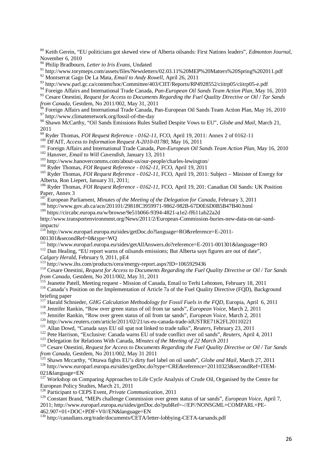<sup>89</sup> Keith Gerein, "EU politicians got skewed view of Alberta oilsands: First Nations leaders", *Edmonton Journal*, November 6, 2010

<sup>90</sup> Philip Bradbourn, *Letter to Iris Evans*, Undated

<sup>91</sup> http://www.torymeps.com/assets/files/Newsletters/02.03.11%20MEP%20Matters%20Spring%202011.pdf

<sup>92</sup> Montserrat Gago De La Mata, *Email to Andy Rowell*, April 26, 2011

93 http://www.parl.gc.ca/content/hoc/Committee/403/CIIT/Reports/RP4928552/ciitrp05/ciitrp05-e.pdf

<sup>94</sup> Foreign Affairs and International Trade Canada, *Pan-European Oil Sands Team Action Plan*, May 16, 2010

<sup>95</sup> Cesare Onestini, *Request for Access to Documents Regarding the Fuel Quality Directive or Oil / Tar Sands from Canada*, Gestdem, No 2011/002, May 31, 2011

<sup>96</sup> Foreign Affairs and International Trade Canada, Pan-European Oil Sands Team Action Plan, May 16, 2010 97 http://www.climatenetwork.org/fossil-of-the-day

<sup>98</sup> Shawn McCarthy, "Oil Sands Emissions Rules Stalled Despite Vows to EU", *Globe and Mail*, March 21, 2011

<sup>99</sup> Ryder Thomas, *FOI Request Reference - 0162-11,* FCO, April 19, 2011: Annex 2 of 0162-11

<sup>100</sup> DFAIT, *Access to Information Request A-2010-01780*, May 16, 2011

<sup>101</sup> Foreign Affairs and International Trade Canada, *Pan-European Oil Sands Team Action Plan*, May 16, 2010

<sup>102</sup> Hanover, *Email to Will Cavendish*, January 13, 2011

<sup>103</sup> http://www.hanovercomms.com/about-us/our-people/charles-lewington/

<sup>104</sup> Ryder Thomas, *FOI Request Reference - 0162-11,* FCO, April 19, 2011

<sup>105</sup> Ryder Thomas, *FOI Request Reference - 0162-11*, FCO, April 19, 2011: Subject – Minister of Energy for Alberta, Ron Liepert, January 31, 2011;

<sup>106</sup> Ryder Thomas, *FOI Request Reference - 0162-11,* FCO, April 19, 201: Canadian Oil Sands: UK Position Paper, Annex 3

<sup>107</sup> European Parliament, *Minutes of the Meeting of the Delegation for Canada*, February 3, 2011

108 http://www.gov.ab.ca/acn/201101/29818C3959971-9862-982B-67D0E6D0B5B47B40.html

<sup>109</sup> https://circabc.europa.eu/w/browse/9e51b066-9394-4821-a1e2-ff611ab22a2d

http://www.transportenvironment.org/News/2011/2/European-Commission-buries-new-data-on-tar-sandimpacts/

<sup>110</sup> http://www.europarl.europa.eu/sides/getDoc.do?language=RO&reference=E-2011-

001301&secondRef=0&type=WQ

<sup>111</sup> http://www.europarl.europa.eu/sides/getAllAnswers.do?reference=E-2011-001301&language=RO

<sup>112</sup> Dan Healing, "EU report warns of oilsands emissions; But Alberta says figures are out of date",

*Calgary Herald*, February 9, 2011, pE4

http://www.ihs.com/products/cera/energy-report.aspx?ID=1065929436

<sup>114</sup> Cesare Onestini, *Request for Access to Documents Regarding the Fuel Quality Directive or Oil / Tar Sands from Canada*, Gestdem, No 2011/002, May 31, 2011

<sup>115</sup> Jeanette Patell, Meeting request - Mission of Canada, Email to Terhi Lehtonen, February 18, 2011

<sup>116</sup> Canada's Position on the Implementation of Article 7a of the Fuel Quality Directive (FQD), Background briefing paper

<sup>117</sup> Harald Schnieder, *GHG Calculation Methodology for Fossil Fuels in the FQD*, Europia, April 6, 2011

<sup>118</sup> Jennifer Rankin, "Row over green status of oil from tar sands", *European Voice*, March 2, 2011

<sup>119</sup> Jennifer Rankin, "Row over green status of oil from tar sands", *European Voice*, March 2, 2011

<sup>120</sup> http://www.reuters.com/article/2011/02/21/us-eu-canada-trade-idUSTRE71K2FL20110221

<sup>121</sup> Allan Dowd, "Canada says EU oil spat not linked to trade talks", *Reuters*, February 23, 2011

<sup>122</sup> Pete Harrison, "Exclusive: Canada warns EU of trade conflict over oil sands", *Reuters*, April 4, 2011

<sup>123</sup> Delegation for Relations With Canada, *Minutes of the Meeting of 22 March 2011*

<sup>124</sup> Cesare Onestini, *Request for Access to Documents Regarding the Fuel Quality Directive or Oil / Tar Sands from Canada*, Gestdem, No 2011/002, May 31 2011

<sup>125</sup> Shawn Mccarthy, "Ottawa fights EU's dirty fuel label on oil sands", *Globe and Mail*, March 27, 2011

<sup>126</sup> http://www.europarl.europa.eu/sides/getDoc.do?type=CRE&reference=20110323&secondRef=ITEM-021&language=EN

<sup>127</sup> Workshop on Comparing Approaches to Life Cycle Analysis of Crude Oil, Organised by the Centre for European Policy Studies, March 21, 2011

<sup>128</sup> Participant to CEPS Event, *Private Communication*, 2011

<sup>129</sup> Constant Brand, "MEPs challenge Commission over green status of tar sands", *European Voice*, April 7,

2011; http://www.europarl.europa.eu/sides/getDoc.do?pubRef=-//EP//NONSGML+COMPARL+PE-462.907+01+DOC+PDF+V0//EN&language=EN

<sup>130</sup> http://canadians.org/trade/documents/CETA/letter-lobbying-CETA-tarsands.pdf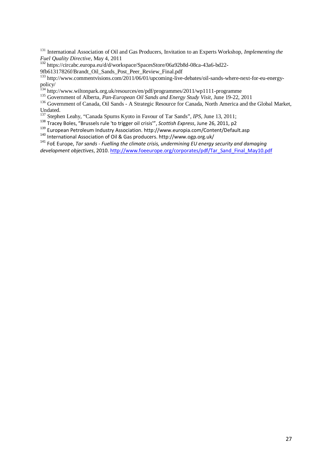<sup>131</sup> International Association of Oil and Gas Producers, Invitation to an Experts Workshop, *Implementing the Fuel Quality Directive*, May 4, 2011

<sup>132</sup> https://circabc.europa.eu/d/d/workspace/SpacesStore/06a92b8d-08ca-43a6-bd22-

9fb61317826f/Brandt\_Oil\_Sands\_Post\_Peer\_Review\_Final.pdf

<sup>133</sup> http://www.commentvisions.com/2011/06/01/upcoming-live-debates/oil-sands-where-next-for-eu-energypolicy/

<sup>134</sup> http://www.wiltonpark.org.uk/resources/en/pdf/programmes/2011/wp1111-programme

<sup>135</sup> Government of Alberta*, Pan-European Oil Sands and Energy Study Visit*, June 19-22, 2011

<sup>136</sup> Government of Canada, Oil Sands - A Strategic Resource for Canada, North America and the Global Market, Undated.

<sup>137</sup> Stephen Leahy, "Canada Spurns Kyoto in Favour of Tar Sands", *IPS*, June 13, 2011;

<sup>138</sup> Tracey Boles, "Brussels rule 'to trigger oil crisis'", *Scottish Express*, June 26, 2011, p2

<sup>139</sup> European Petroleum Industry Association. http://www.europia.com/Content/Default.asp

<sup>140</sup> International Association of Oil & Gas producers. http://www.ogp.org.uk/

<sup>141</sup> FoE Europe, *Tar sands - Fuelling the climate crisis, undermining EU energy security and damaging development objectives*, 2010. http://www.foeeurope.org/corporates/pdf/Tar\_Sand\_Final\_May10.pdf